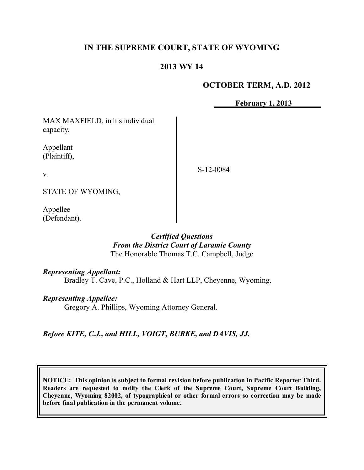## **IN THE SUPREME COURT, STATE OF WYOMING**

## **2013 WY 14**

## **OCTOBER TERM, A.D. 2012**

**February 1, 2013**

MAX MAXFIELD, in his individual capacity,

Appellant (Plaintiff),

v.

S-12-0084

STATE OF WYOMING,

Appellee (Defendant).

### *Certified Questions From the District Court of Laramie County* The Honorable Thomas T.C. Campbell, Judge

*Representing Appellant:*

Bradley T. Cave, P.C., Holland & Hart LLP, Cheyenne, Wyoming.

*Representing Appellee:*

Gregory A. Phillips, Wyoming Attorney General.

*Before KITE, C.J., and HILL, VOIGT, BURKE, and DAVIS, JJ.*

**NOTICE: This opinion is subject to formal revision before publication in Pacific Reporter Third. Readers are requested to notify the Clerk of the Supreme Court, Supreme Court Building, Cheyenne, Wyoming 82002, of typographical or other formal errors so correction may be made before final publication in the permanent volume.**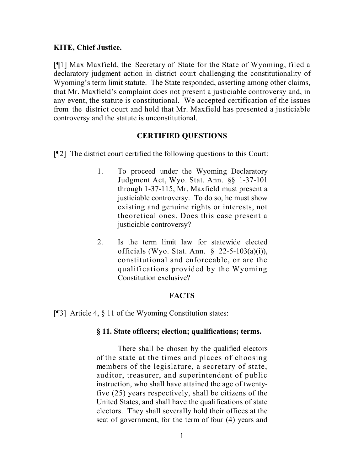### **KITE, Chief Justice.**

[¶1] Max Maxfield, the Secretary of State for the State of Wyoming, filed a declaratory judgment action in district court challenging the constitutionality of Wyoming's term limit statute. The State responded, asserting among other claims, that Mr. Maxfield's complaint does not present a justiciable controversy and, in any event, the statute is constitutional. We accepted certification of the issues from the district court and hold that Mr. Maxfield has presented a justiciable controversy and the statute is unconstitutional.

### **CERTIFIED QUESTIONS**

[¶2] The district court certified the following questions to this Court:

- 1. To proceed under the Wyoming Declaratory Judgment Act, Wyo. Stat. Ann. §§ 1-37-101 through 1-37-115, Mr. Maxfield must present a justiciable controversy. To do so, he must show existing and genuine rights or interests, not theoretical ones. Does this case present a justiciable controversy?
- 2. Is the term limit law for statewide elected officials (Wyo. Stat. Ann. § 22-5-103(a)(i)), constitutional and enforceable, or are the qualifications provided by the Wyoming Constitution exclusive?

## **FACTS**

[¶3] Article 4, § 11 of the Wyoming Constitution states:

### **§ 11. State officers; election; qualifications; terms.**

There shall be chosen by the qualified electors of the state at the times and places of choosing members of the legislature, a secretary of state, auditor, treasurer, and superintendent of public instruction, who shall have attained the age of twentyfive (25) years respectively, shall be citizens of the United States, and shall have the qualifications of state electors. They shall severally hold their offices at the seat of government, for the term of four (4) years and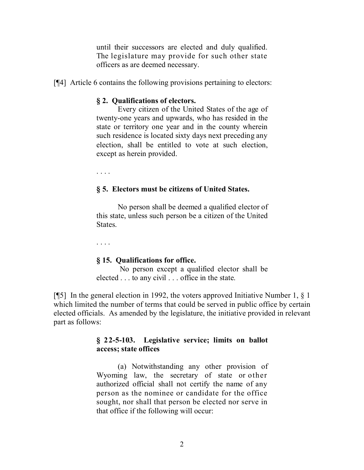until their successors are elected and duly qualified. The legislature may provide for such other state officers as are deemed necessary.

[¶4] Article 6 contains the following provisions pertaining to electors:

### **§ 2. Qualifications of electors.**

Every citizen of the United States of the age of twenty-one years and upwards, who has resided in the state or territory one year and in the county wherein such residence is located sixty days next preceding any election, shall be entitled to vote at such election, except as herein provided.

. . . .

#### **§ 5. Electors must be citizens of United States.**

No person shall be deemed a qualified elector of this state, unless such person be a citizen of the United States.

. . . .

#### **§ 15. Qualifications for office.**

No person except a qualified elector shall be elected . . . to any civil . . . office in the state.

[¶5] In the general election in 1992, the voters approved Initiative Number 1, § 1 which limited the number of terms that could be served in public office by certain elected officials. As amended by the legislature, the initiative provided in relevant part as follows:

### **§ 22-5-103. Legislative service; limits on ballot access; state offices**

(a) Notwithstanding any other provision of Wyoming law, the secretary of state or other authorized official shall not certify the name of any person as the nominee or candidate for the office sought, nor shall that person be elected nor serve in that office if the following will occur: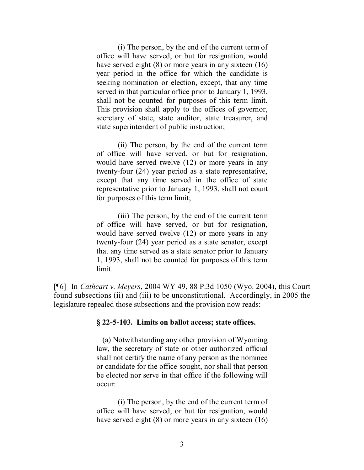(i) The person, by the end of the current term of office will have served, or but for resignation, would have served eight (8) or more years in any sixteen (16) year period in the office for which the candidate is seeking nomination or election, except, that any time served in that particular office prior to January 1, 1993, shall not be counted for purposes of this term limit. This provision shall apply to the offices of governor, secretary of state, state auditor, state treasurer, and state superintendent of public instruction;

(ii) The person, by the end of the current term of office will have served, or but for resignation, would have served twelve (12) or more years in any twenty-four (24) year period as a state representative, except that any time served in the office of state representative prior to January 1, 1993, shall not count for purposes of this term limit;

(iii) The person, by the end of the current term of office will have served, or but for resignation, would have served twelve (12) or more years in any twenty-four (24) year period as a state senator, except that any time served as a state senator prior to January 1, 1993, shall not be counted for purposes of this term limit.

[¶6] In *Cathcart v. Meyers*, 2004 WY 49, 88 P.3d 1050 (Wyo. 2004), this Court found subsections (ii) and (iii) to be unconstitutional. Accordingly, in 2005 the legislature repealed those subsections and the provision now reads:

#### **§ 22-5-103. Limits on ballot access; state offices.**

(a) Notwithstanding any other provision of Wyoming law, the secretary of state or other authorized official shall not certify the name of any person as the nominee or candidate for the office sought, nor shall that person be elected nor serve in that office if the following will occur:

(i) The person, by the end of the current term of office will have served, or but for resignation, would have served eight (8) or more years in any sixteen (16)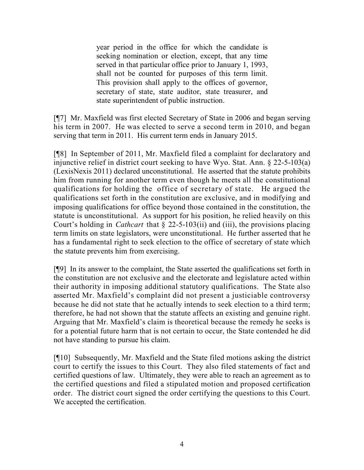year period in the office for which the candidate is seeking nomination or election, except, that any time served in that particular office prior to January 1, 1993, shall not be counted for purposes of this term limit. This provision shall apply to the offices of governor, secretary of state, state auditor, state treasurer, and state superintendent of public instruction.

[¶7] Mr. Maxfield was first elected Secretary of State in 2006 and began serving his term in 2007. He was elected to serve a second term in 2010, and began serving that term in 2011. His current term ends in January 2015.

[¶8] In September of 2011, Mr. Maxfield filed a complaint for declaratory and injunctive relief in district court seeking to have Wyo. Stat. Ann. § 22-5-103(a) (LexisNexis 2011) declared unconstitutional. He asserted that the statute prohibits him from running for another term even though he meets all the constitutional qualifications for holding the office of secretary of state. He argued the qualifications set forth in the constitution are exclusive, and in modifying and imposing qualifications for office beyond those contained in the constitution, the statute is unconstitutional. As support for his position, he relied heavily on this Court's holding in *Cathcart* that § 22-5-103(ii) and (iii), the provisions placing term limits on state legislators, were unconstitutional. He further asserted that he has a fundamental right to seek election to the office of secretary of state which the statute prevents him from exercising.

[¶9] In its answer to the complaint, the State asserted the qualifications set forth in the constitution are not exclusive and the electorate and legislature acted within their authority in imposing additional statutory qualifications. The State also asserted Mr. Maxfield's complaint did not present a justiciable controversy because he did not state that he actually intends to seek election to a third term; therefore, he had not shown that the statute affects an existing and genuine right. Arguing that Mr. Maxfield's claim is theoretical because the remedy he seeks is for a potential future harm that is not certain to occur, the State contended he did not have standing to pursue his claim.

[¶10] Subsequently, Mr. Maxfield and the State filed motions asking the district court to certify the issues to this Court. They also filed statements of fact and certified questions of law. Ultimately, they were able to reach an agreement as to the certified questions and filed a stipulated motion and proposed certification order. The district court signed the order certifying the questions to this Court. We accepted the certification.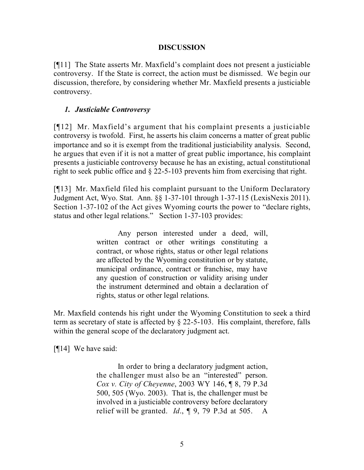### **DISCUSSION**

[¶11] The State asserts Mr. Maxfield's complaint does not present a justiciable controversy. If the State is correct, the action must be dismissed. We begin our discussion, therefore, by considering whether Mr. Maxfield presents a justiciable controversy.

### *1. Justiciable Controversy*

[¶12] Mr. Maxfield's argument that his complaint presents a justiciable controversy is twofold. First, he asserts his claim concerns a matter of great public importance and so it is exempt from the traditional justiciability analysis. Second, he argues that even if it is not a matter of great public importance, his complaint presents a justiciable controversy because he has an existing, actual constitutional right to seek public office and § 22-5-103 prevents him from exercising that right.

[¶13] Mr. Maxfield filed his complaint pursuant to the Uniform Declaratory Judgment Act, Wyo. Stat. Ann. §§ 1-37-101 through 1-37-115 (LexisNexis 2011). Section 1-37-102 of the Act gives Wyoming courts the power to "declare rights, status and other legal relations." Section 1-37-103 provides:

> Any person interested under a deed, will, written contract or other writings constituting a contract, or whose rights, status or other legal relations are affected by the Wyoming constitution or by statute, municipal ordinance, contract or franchise, may have any question of construction or validity arising under the instrument determined and obtain a declaration of rights, status or other legal relations.

Mr. Maxfield contends his right under the Wyoming Constitution to seek a third term as secretary of state is affected by § 22-5-103. His complaint, therefore, falls within the general scope of the declaratory judgment act.

[¶14] We have said:

In order to bring a declaratory judgment action, the challenger must also be an "interested" person. *Cox v. City of Cheyenne*, 2003 WY 146, ¶ 8, 79 P.3d 500, 505 (Wyo. 2003). That is, the challenger must be involved in a justiciable controversy before declaratory relief will be granted. *Id*., ¶ 9, 79 P.3d at 505. A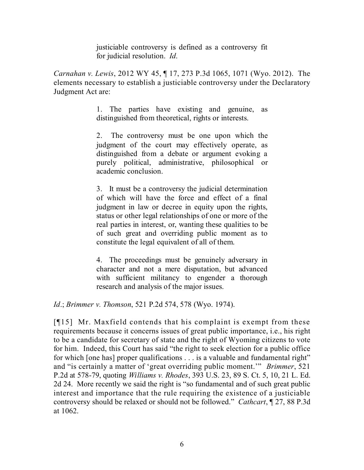justiciable controversy is defined as a controversy fit for judicial resolution. *Id*.

*Carnahan v. Lewis*, 2012 WY 45, ¶ 17, 273 P.3d 1065, 1071 (Wyo. 2012). The elements necessary to establish a justiciable controversy under the Declaratory Judgment Act are:

> 1. The parties have existing and genuine, as distinguished from theoretical, rights or interests.

> 2. The controversy must be one upon which the judgment of the court may effectively operate, as distinguished from a debate or argument evoking a purely political, administrative, philosophical or academic conclusion.

> 3. It must be a controversy the judicial determination of which will have the force and effect of a final judgment in law or decree in equity upon the rights, status or other legal relationships of one or more of the real parties in interest, or, wanting these qualities to be of such great and overriding public moment as to constitute the legal equivalent of all of them.

> 4. The proceedings must be genuinely adversary in character and not a mere disputation, but advanced with sufficient militancy to engender a thorough research and analysis of the major issues.

*Id*.; *Brimmer v. Thomson*, 521 P.2d 574, 578 (Wyo. 1974).

[¶15] Mr. Maxfield contends that his complaint is exempt from these requirements because it concerns issues of great public importance, i.e., his right to be a candidate for secretary of state and the right of Wyoming citizens to vote for him. Indeed, this Court has said "the right to seek election for a public office for which [one has] proper qualifications . . . is a valuable and fundamental right" and "is certainly a matter of 'great overriding public moment.'" *Brimmer*, 521 P.2d at 578-79, quoting *Williams v. Rhodes*, 393 U.S. 23, 89 S. Ct. 5, 10, 21 L. Ed. 2d 24. More recently we said the right is "so fundamental and of such great public interest and importance that the rule requiring the existence of a justiciable controversy should be relaxed or should not be followed." *Cathcart*, ¶ 27, 88 P.3d at 1062.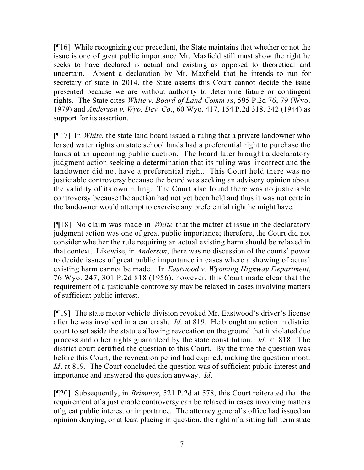[¶16] While recognizing our precedent, the State maintains that whether or not the issue is one of great public importance Mr. Maxfield still must show the right he seeks to have declared is actual and existing as opposed to theoretical and uncertain. Absent a declaration by Mr. Maxfield that he intends to run for secretary of state in 2014, the State asserts this Court cannot decide the issue presented because we are without authority to determine future or contingent rights. The State cites *White v. Board of Land Comm'rs*, 595 P.2d 76, 79 (Wyo. 1979) and *Anderson v. Wyo. Dev. Co*., 60 Wyo. 417, 154 P.2d 318, 342 (1944) as support for its assertion.

[¶17] In *White*, the state land board issued a ruling that a private landowner who leased water rights on state school lands had a preferential right to purchase the lands at an upcoming public auction. The board later brought a declaratory judgment action seeking a determination that its ruling was incorrect and the landowner did not have a preferential right. This Court held there was no justiciable controversy because the board was seeking an advisory opinion about the validity of its own ruling. The Court also found there was no justiciable controversy because the auction had not yet been held and thus it was not certain the landowner would attempt to exercise any preferential right he might have.

[¶18] No claim was made in *White* that the matter at issue in the declaratory judgment action was one of great public importance; therefore, the Court did not consider whether the rule requiring an actual existing harm should be relaxed in that context. Likewise, in *Anderson*, there was no discussion of the courts' power to decide issues of great public importance in cases where a showing of actual existing harm cannot be made. In *Eastwood v. Wyoming Highway Department*, 76 Wyo. 247, 301 P.2d 818 (1956), however, this Court made clear that the requirement of a justiciable controversy may be relaxed in cases involving matters of sufficient public interest.

[¶19] The state motor vehicle division revoked Mr. Eastwood's driver's license after he was involved in a car crash. *Id*. at 819. He brought an action in district court to set aside the statute allowing revocation on the ground that it violated due process and other rights guaranteed by the state constitution. *Id*. at 818. The district court certified the question to this Court. By the time the question was before this Court, the revocation period had expired, making the question moot. *Id*. at 819. The Court concluded the question was of sufficient public interest and importance and answered the question anyway. *Id*.

[¶20] Subsequently, in *Brimmer*, 521 P.2d at 578, this Court reiterated that the requirement of a justiciable controversy can be relaxed in cases involving matters of great public interest or importance. The attorney general's office had issued an opinion denying, or at least placing in question, the right of a sitting full term state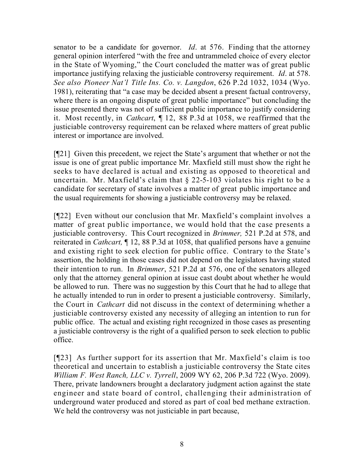senator to be a candidate for governor. *Id*. at 576. Finding that the attorney general opinion interfered "with the free and untrammeled choice of every elector in the State of Wyoming," the Court concluded the matter was of great public importance justifying relaxing the justiciable controversy requirement. *Id*. at 578. *See also Pioneer Nat'l Title Ins. Co. v. Langdon*, 626 P.2d 1032, 1034 (Wyo. 1981), reiterating that "a case may be decided absent a present factual controversy, where there is an ongoing dispute of great public importance" but concluding the issue presented there was not of sufficient public importance to justify considering it. Most recently, in *Cathcart*, ¶ 12, 88 P.3d at 1058, we reaffirmed that the justiciable controversy requirement can be relaxed where matters of great public interest or importance are involved.

[¶21] Given this precedent, we reject the State's argument that whether or not the issue is one of great public importance Mr. Maxfield still must show the right he seeks to have declared is actual and existing as opposed to theoretical and uncertain. Mr. Maxfield's claim that § 22-5-103 violates his right to be a candidate for secretary of state involves a matter of great public importance and the usual requirements for showing a justiciable controversy may be relaxed.

[¶22] Even without our conclusion that Mr. Maxfield's complaint involves a matter of great public importance, we would hold that the case presents a justiciable controversy. This Court recognized in *Brimmer,* 521 P.2d at 578, and reiterated in *Cathcart,* ¶ 12, 88 P.3d at 1058, that qualified persons have a genuine and existing right to seek election for public office. Contrary to the State's assertion, the holding in those cases did not depend on the legislators having stated their intention to run. In *Brimmer*, 521 P.2d at 576, one of the senators alleged only that the attorney general opinion at issue cast doubt about whether he would be allowed to run. There was no suggestion by this Court that he had to allege that he actually intended to run in order to present a justiciable controversy. Similarly, the Court in *Cathcart* did not discuss in the context of determining whether a justiciable controversy existed any necessity of alleging an intention to run for public office. The actual and existing right recognized in those cases as presenting a justiciable controversy is the right of a qualified person to seek election to public office.

[¶23] As further support for its assertion that Mr. Maxfield's claim is too theoretical and uncertain to establish a justiciable controversy the State cites *William F. West Ranch, LLC v. Tyrrell*, 2009 WY 62, 206 P.3d 722 (Wyo. 2009). There, private landowners brought a declaratory judgment action against the state engineer and state board of control, challenging their administration of underground water produced and stored as part of coal bed methane extraction. We held the controversy was not justiciable in part because,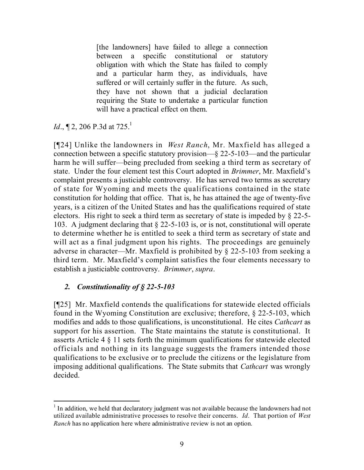[the landowners] have failed to allege a connection between a specific constitutional or statutory obligation with which the State has failed to comply and a particular harm they, as individuals, have suffered or will certainly suffer in the future. As such, they have not shown that a judicial declaration requiring the State to undertake a particular function will have a practical effect on them.

*Id.*,  $\P$  2, 206 P.3d at 725.<sup>1</sup>

[¶24] Unlike the landowners in *West Ranch*, Mr. Maxfield has alleged a connection between a specific statutory provision—§ 22-5-103—and the particular harm he will suffer—being precluded from seeking a third term as secretary of state. Under the four element test this Court adopted in *Brimmer*, Mr. Maxfield's complaint presents a justiciable controversy. He has served two terms as secretary of state for Wyoming and meets the qualifications contained in the state constitution for holding that office. That is, he has attained the age of twenty-five years, is a citizen of the United States and has the qualifications required of state electors. His right to seek a third term as secretary of state is impeded by § 22-5- 103. A judgment declaring that § 22-5-103 is, or is not, constitutional will operate to determine whether he is entitled to seek a third term as secretary of state and will act as a final judgment upon his rights. The proceedings are genuinely adverse in character—Mr. Maxfield is prohibited by § 22-5-103 from seeking a third term. Mr. Maxfield's complaint satisfies the four elements necessary to establish a justiciable controversy. *Brimmer*, *supra*.

# *2. Constitutionality of § 22-5-103*

[¶25] Mr. Maxfield contends the qualifications for statewide elected officials found in the Wyoming Constitution are exclusive; therefore, § 22-5-103, which modifies and adds to those qualifications, is unconstitutional. He cites *Cathcart* as support for his assertion. The State maintains the statute is constitutional. It asserts Article 4 § 11 sets forth the minimum qualifications for statewide elected officials and nothing in its language suggests the framers intended those qualifications to be exclusive or to preclude the citizens or the legislature from imposing additional qualifications. The State submits that *Cathcart* was wrongly decided.

<sup>&</sup>lt;sup>1</sup> In addition, we held that declaratory judgment was not available because the landowners had not utilized available administrative processes to resolve their concerns. *Id*. That portion of *West Ranch* has no application here where administrative review is not an option.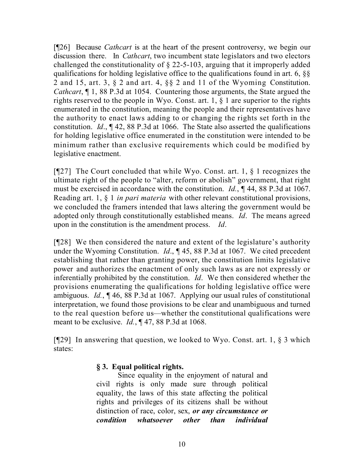[¶26] Because *Cathcart* is at the heart of the present controversy, we begin our discussion there. In *Cathcart*, two incumbent state legislators and two electors challenged the constitutionality of § 22-5-103, arguing that it improperly added qualifications for holding legislative office to the qualifications found in art. 6, §§ 2 and 15, art. 3, § 2 and art. 4, §§ 2 and 11 of the Wyoming Constitution. *Cathcart*, ¶ 1, 88 P.3d at 1054. Countering those arguments, the State argued the rights reserved to the people in Wyo. Const. art. 1, § 1 are superior to the rights enumerated in the constitution, meaning the people and their representatives have the authority to enact laws adding to or changing the rights set forth in the constitution. *Id*., ¶ 42, 88 P.3d at 1066. The State also asserted the qualifications for holding legislative office enumerated in the constitution were intended to be minimum rather than exclusive requirements which could be modified by legislative enactment.

[ $[$ [27] The Court concluded that while Wyo. Const. art. 1,  $\S$  1 recognizes the ultimate right of the people to "alter, reform or abolish" government, that right must be exercised in accordance with the constitution. *Id.*, ¶ 44, 88 P.3d at 1067. Reading art. 1, § 1 *in pari materia* with other relevant constitutional provisions, we concluded the framers intended that laws altering the government would be adopted only through constitutionally established means. *Id*. The means agreed upon in the constitution is the amendment process. *Id*.

[¶28] We then considered the nature and extent of the legislature's authority under the Wyoming Constitution. *Id*., ¶ 45, 88 P.3d at 1067. We cited precedent establishing that rather than granting power, the constitution limits legislative power and authorizes the enactment of only such laws as are not expressly or inferentially prohibited by the constitution. *Id*. We then considered whether the provisions enumerating the qualifications for holding legislative office were ambiguous. *Id.*, ¶ 46, 88 P.3d at 1067. Applying our usual rules of constitutional interpretation, we found those provisions to be clear and unambiguous and turned to the real question before us—whether the constitutional qualifications were meant to be exclusive. *Id.*, ¶ 47, 88 P.3d at 1068.

[¶29] In answering that question, we looked to Wyo. Const. art. 1, § 3 which states:

# **§ 3. Equal political rights.**

Since equality in the enjoyment of natural and civil rights is only made sure through political equality, the laws of this state affecting the political rights and privileges of its citizens shall be without distinction of race, color, sex, *or any circumstance or condition whatsoever other than individual*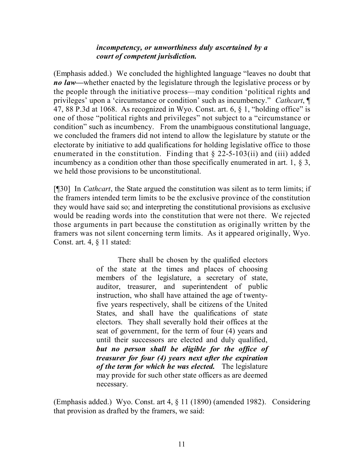### *incompetency, or unworthiness duly ascertained by a court of competent jurisdiction.*

(Emphasis added.) We concluded the highlighted language "leaves no doubt that *no law—*whether enacted by the legislature through the legislative process or by the people through the initiative process—may condition 'political rights and privileges' upon a 'circumstance or condition' such as incumbency." *Cathcart*, ¶ 47, 88 P.3d at 1068. As recognized in Wyo. Const. art. 6, § 1, "holding office" is one of those "political rights and privileges" not subject to a "circumstance or condition" such as incumbency. From the unambiguous constitutional language, we concluded the framers did not intend to allow the legislature by statute or the electorate by initiative to add qualifications for holding legislative office to those enumerated in the constitution. Finding that  $\S$  22-5-103(ii) and (iii) added incumbency as a condition other than those specifically enumerated in art. 1, § 3, we held those provisions to be unconstitutional.

[¶30] In *Cathcart*, the State argued the constitution was silent as to term limits; if the framers intended term limits to be the exclusive province of the constitution they would have said so; and interpreting the constitutional provisions as exclusive would be reading words into the constitution that were not there. We rejected those arguments in part because the constitution as originally written by the framers was not silent concerning term limits. As it appeared originally, Wyo. Const. art. 4, § 11 stated:

> There shall be chosen by the qualified electors of the state at the times and places of choosing members of the legislature, a secretary of state, auditor, treasurer, and superintendent of public instruction, who shall have attained the age of twentyfive years respectively, shall be citizens of the United States, and shall have the qualifications of state electors. They shall severally hold their offices at the seat of government, for the term of four (4) years and until their successors are elected and duly qualified, *but no person shall be eligible for the office of treasurer for four (4) years next after the expiration of the term for which he was elected.* The legislature may provide for such other state officers as are deemed necessary.

(Emphasis added.) Wyo. Const. art 4, § 11 (1890) (amended 1982). Considering that provision as drafted by the framers, we said: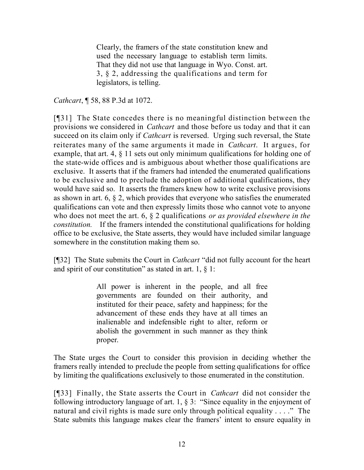Clearly, the framers of the state constitution knew and used the necessary language to establish term limits. That they did not use that language in Wyo. Const. art. 3, § 2, addressing the qualifications and term for legislators, is telling.

*Cathcart*, ¶ 58, 88 P.3d at 1072.

[¶31] The State concedes there is no meaningful distinction between the provisions we considered in *Cathcart* and those before us today and that it can succeed on its claim only if *Cathcart* is reversed. Urging such reversal, the State reiterates many of the same arguments it made in *Cathcart*. It argues, for example, that art. 4, § 11 sets out only minimum qualifications for holding one of the state-wide offices and is ambiguous about whether those qualifications are exclusive. It asserts that if the framers had intended the enumerated qualifications to be exclusive and to preclude the adoption of additional qualifications, they would have said so. It asserts the framers knew how to write exclusive provisions as shown in art. 6, § 2, which provides that everyone who satisfies the enumerated qualifications can vote and then expressly limits those who cannot vote to anyone who does not meet the art. 6, § 2 qualifications *or as provided elsewhere in the constitution.* If the framers intended the constitutional qualifications for holding office to be exclusive, the State asserts, they would have included similar language somewhere in the constitution making them so.

[¶32] The State submits the Court in *Cathcart* "did not fully account for the heart and spirit of our constitution" as stated in art. 1,  $\S$  1:

> All power is inherent in the people, and all free governments are founded on their authority, and instituted for their peace, safety and happiness; for the advancement of these ends they have at all times an inalienable and indefensible right to alter, reform or abolish the government in such manner as they think proper.

The State urges the Court to consider this provision in deciding whether the framers really intended to preclude the people from setting qualifications for office by limiting the qualifications exclusively to those enumerated in the constitution.

[¶33] Finally, the State asserts the Court in *Cathcart* did not consider the following introductory language of art. 1, § 3: "Since equality in the enjoyment of natural and civil rights is made sure only through political equality . . . ." The State submits this language makes clear the framers' intent to ensure equality in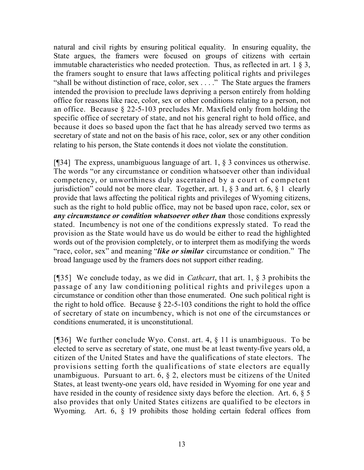natural and civil rights by ensuring political equality. In ensuring equality, the State argues, the framers were focused on groups of citizens with certain immutable characteristics who needed protection. Thus, as reflected in art. 1 § 3, the framers sought to ensure that laws affecting political rights and privileges "shall be without distinction of race, color, sex . . . ." The State argues the framers intended the provision to preclude laws depriving a person entirely from holding office for reasons like race, color, sex or other conditions relating to a person, not an office. Because § 22-5-103 precludes Mr. Maxfield only from holding the specific office of secretary of state, and not his general right to hold office, and because it does so based upon the fact that he has already served two terms as secretary of state and not on the basis of his race, color, sex or any other condition relating to his person, the State contends it does not violate the constitution.

[¶34] The express, unambiguous language of art. 1, § 3 convinces us otherwise. The words "or any circumstance or condition whatsoever other than individual competency, or unworthiness duly ascertained by a court of competent jurisdiction" could not be more clear. Together, art. 1,  $\S$  3 and art. 6,  $\S$  1 clearly provide that laws affecting the political rights and privileges of Wyoming citizens, such as the right to hold public office, may not be based upon race, color, sex or *any circumstance or condition whatsoever other than* those conditions expressly stated. Incumbency is not one of the conditions expressly stated. To read the provision as the State would have us do would be either to read the highlighted words out of the provision completely, or to interpret them as modifying the words "race, color, sex" and meaning "*like or similar* circumstance or condition." The broad language used by the framers does not support either reading.

[¶35] We conclude today, as we did in *Cathcart*, that art. 1, § 3 prohibits the passage of any law conditioning political rights and privileges upon a circumstance or condition other than those enumerated. One such political right is the right to hold office. Because  $\S$  22-5-103 conditions the right to hold the office of secretary of state on incumbency, which is not one of the circumstances or conditions enumerated, it is unconstitutional.

[¶36] We further conclude Wyo. Const. art. 4, § 11 is unambiguous. To be elected to serve as secretary of state, one must be at least twenty-five years old, a citizen of the United States and have the qualifications of state electors. The provisions setting forth the qualifications of state electors are equally unambiguous. Pursuant to art. 6, § 2, electors must be citizens of the United States, at least twenty-one years old, have resided in Wyoming for one year and have resided in the county of residence sixty days before the election. Art. 6,  $\S$  5 also provides that only United States citizens are qualified to be electors in Wyoming. Art. 6, § 19 prohibits those holding certain federal offices from